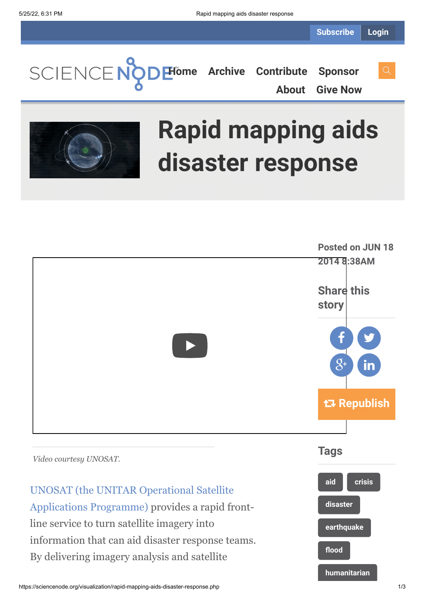**[Home](https://sciencenode.org/) [Archive](https://sciencenode.org/archive/index.php) [Contribute](https://sciencenode.org/contribute/index.php) [Sponsor](https://sciencenode.org/sponsor/index.php)**

**[About](https://sciencenode.org/about/index.php) [Give Now](https://sciencenode.org/donate/index.php)**



# **Rapid mapping aids disaster response**



By delivering imagery analysis and satellite

https://sciencenode.org/visualization/rapid-mapping-aids-disaster-response.php 1/3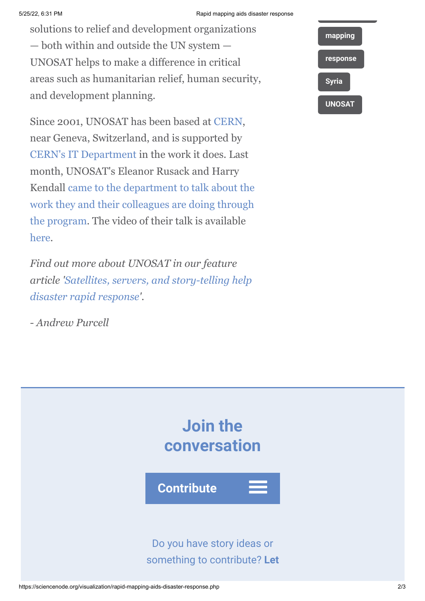#### 5/25/22, 6:31 PM Rapid mapping aids disaster response

solutions to relief and development organizations — both within and outside the UN system — UNOSAT helps to make a difference in critical areas such as humanitarian relief, human security, and development planning.

Since 2001, UNOSAT has been based at [CERN,](http://www.cern.ch/) near Geneva, Switzerland, and is supported by [CERN's IT Department](http://information-technology.web.cern.ch/) in the work it does. Last month, UNOSAT's Eleanor Rusack and Harry [Kendall came to the department to talk about the](https://indico.cern.ch/event/305084/) work they and their colleagues are doing through the program. The video of their talk is available [here](http://cds.cern.ch/record/1704275).

*Find out more about UNOSAT in our feature [article 'Satellites, servers, and story-telling help](http://www.isgtw.org/feature/satellites-servers-and-story-telling-help-disaster-rapid-response) disaster rapid response'.*

*- Andrew Purcell*